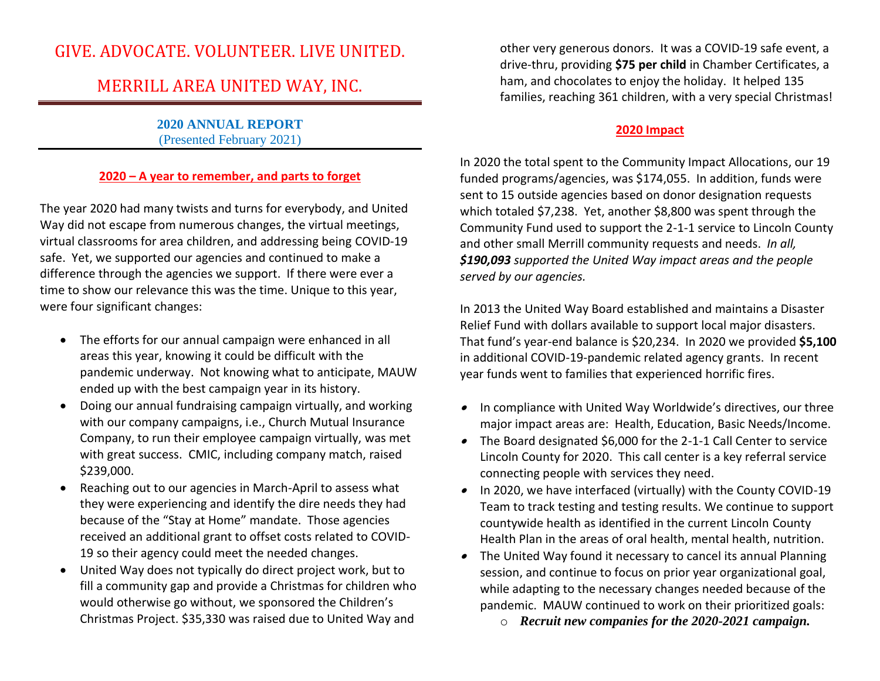# GIVE. ADVOCATE. VOLUNTEER. LIVE UNITED.

# MERRILL AREA UNITED WAY, INC.

**2020 ANNUAL REPORT** (Presented February 2021)

## **2020 – A year to remember, and parts to forget**

The year 2020 had many twists and turns for everybody, and United Way did not escape from numerous changes, the virtual meetings, virtual classrooms for area children, and addressing being COVID-19 safe. Yet, we supported our agencies and continued to make a difference through the agencies we support. If there were ever a time to show our relevance this was the time. Unique to this year, were four significant changes:

- The efforts for our annual campaign were enhanced in all areas this year, knowing it could be difficult with the pandemic underway. Not knowing what to anticipate, MAUW ended up with the best campaign year in its history.
- Doing our annual fundraising campaign virtually, and working with our company campaigns, i.e., Church Mutual Insurance Company, to run their employee campaign virtually, was met with great success. CMIC, including company match, raised \$239,000.
- Reaching out to our agencies in March-April to assess what they were experiencing and identify the dire needs they had because of the "Stay at Home" mandate. Those agencies received an additional grant to offset costs related to COVID-19 so their agency could meet the needed changes.
- United Way does not typically do direct project work, but to fill a community gap and provide a Christmas for children who would otherwise go without, we sponsored the Children's Christmas Project. \$35,330 was raised due to United Way and

other very generous donors. It was a COVID-19 safe event, a drive-thru, providing **\$75 per child** in Chamber Certificates, a ham, and chocolates to enjoy the holiday. It helped 135 families, reaching 361 children, with a very special Christmas!

## **2020 Impact**

In 2020 the total spent to the Community Impact Allocations, our 19 funded programs/agencies, was \$174,055. In addition, funds were sent to 15 outside agencies based on donor designation requests which totaled \$7,238. Yet, another \$8,800 was spent through the Community Fund used to support the 2-1-1 service to Lincoln County and other small Merrill community requests and needs. *In all, \$190,093 supported the United Way impact areas and the people served by our agencies.* 

In 2013 the United Way Board established and maintains a Disaster Relief Fund with dollars available to support local major disasters. That fund's year-end balance is \$20,234. In 2020 we provided **\$5,100** in additional COVID-19-pandemic related agency grants. In recent year funds went to families that experienced horrific fires.

- In compliance with United Way Worldwide's directives, our three major impact areas are: Health, Education, Basic Needs/Income.
- The Board designated \$6,000 for the 2-1-1 Call Center to service Lincoln County for 2020. This call center is a key referral service connecting people with services they need.
- In 2020, we have interfaced (virtually) with the County COVID-19 Team to track testing and testing results. We continue to support countywide health as identified in the current Lincoln County Health Plan in the areas of oral health, mental health, nutrition.
- The United Way found it necessary to cancel its annual Planning session, and continue to focus on prior year organizational goal, while adapting to the necessary changes needed because of the pandemic. MAUW continued to work on their prioritized goals:
	- o *Recruit new companies for the 2020-2021 campaign.*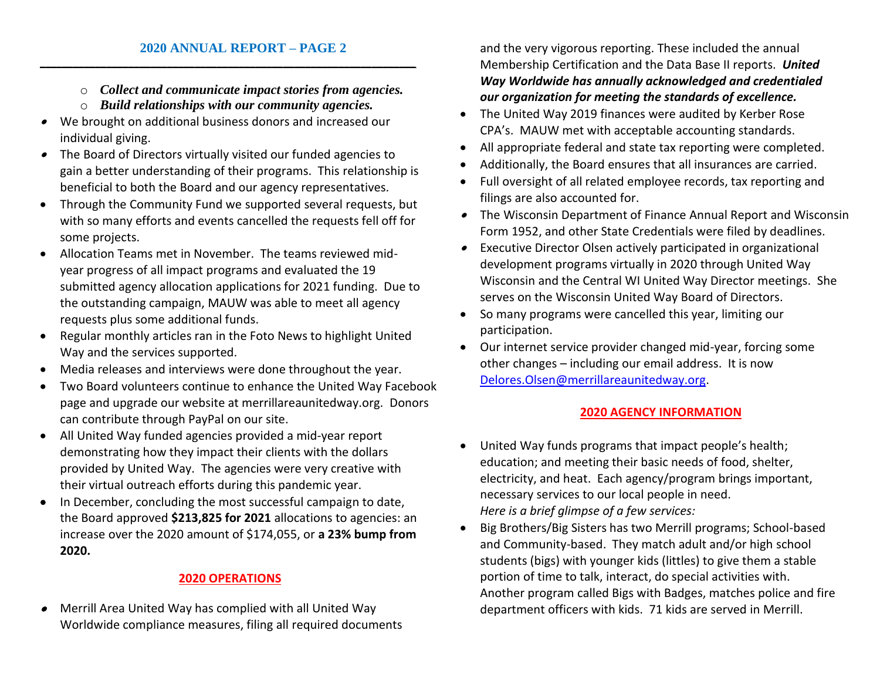- o *Collect and communicate impact stories from agencies.*
- o *Build relationships with our community agencies.*

**\_\_\_\_\_\_\_\_\_\_\_\_\_\_\_\_\_\_\_\_\_\_\_\_\_\_\_\_\_\_\_\_\_\_\_\_\_\_\_\_\_\_\_\_\_\_\_\_\_\_\_\_\_\_\_\_\_\_\_\_\_\_\_\_\_\_\_\_**

- • We brought on additional business donors and increased our individual giving.
- • The Board of Directors virtually visited our funded agencies to gain a better understanding of their programs. This relationship is beneficial to both the Board and our agency representatives.
- Through the Community Fund we supported several requests, but with so many efforts and events cancelled the requests fell off for some projects.
- Allocation Teams met in November. The teams reviewed midyear progress of all impact programs and evaluated the 19 submitted agency allocation applications for 2021 funding. Due to the outstanding campaign, MAUW was able to meet all agency requests plus some additional funds.
- Regular monthly articles ran in the Foto News to highlight United Way and the services supported.
- Media releases and interviews were done throughout the year.
- Two Board volunteers continue to enhance the United Way Facebook page and upgrade our website at merrillareaunitedway.org. Donors can contribute through PayPal on our site.
- All United Way funded agencies provided a mid-year report demonstrating how they impact their clients with the dollars provided by United Way. The agencies were very creative with their virtual outreach efforts during this pandemic year.
- In December, concluding the most successful campaign to date, the Board approved **\$213,825 for 2021** allocations to agencies: an increase over the 2020 amount of \$174,055, or **a 23% bump from 2020.**

## **2020 OPERATIONS**

• Merrill Area United Way has complied with all United Way Worldwide compliance measures, filing all required documents

and the very vigorous reporting. These included the annual Membership Certification and the Data Base II reports. *United Way Worldwide has annually acknowledged and credentialed our organization for meeting the standards of excellence.*

- The United Way 2019 finances were audited by Kerber Rose CPA's. MAUW met with acceptable accounting standards.
- All appropriate federal and state tax reporting were completed.
- Additionally, the Board ensures that all insurances are carried.
- Full oversight of all related employee records, tax reporting and filings are also accounted for.
- The Wisconsin Department of Finance Annual Report and Wisconsin Form 1952, and other State Credentials were filed by deadlines.
- Executive Director Olsen actively participated in organizational development programs virtually in 2020 through United Way Wisconsin and the Central WI United Way Director meetings. She serves on the Wisconsin United Way Board of Directors.
- So many programs were cancelled this year, limiting our participation.
- Our internet service provider changed mid-year, forcing some other changes – including our email address. It is now [Delores.Olsen@merrillareaunitedway.org.](mailto:Delores.Olsen@merrillareaunitedway.org)

## **2020 AGENCY INFORMATION**

- United Way funds programs that impact people's health; education; and meeting their basic needs of food, shelter, electricity, and heat. Each agency/program brings important, necessary services to our local people in need. *Here is a brief glimpse of a few services:*
- Big Brothers/Big Sisters has two Merrill programs; School-based and Community-based. They match adult and/or high school students (bigs) with younger kids (littles) to give them a stable portion of time to talk, interact, do special activities with. Another program called Bigs with Badges, matches police and fire department officers with kids. 71 kids are served in Merrill.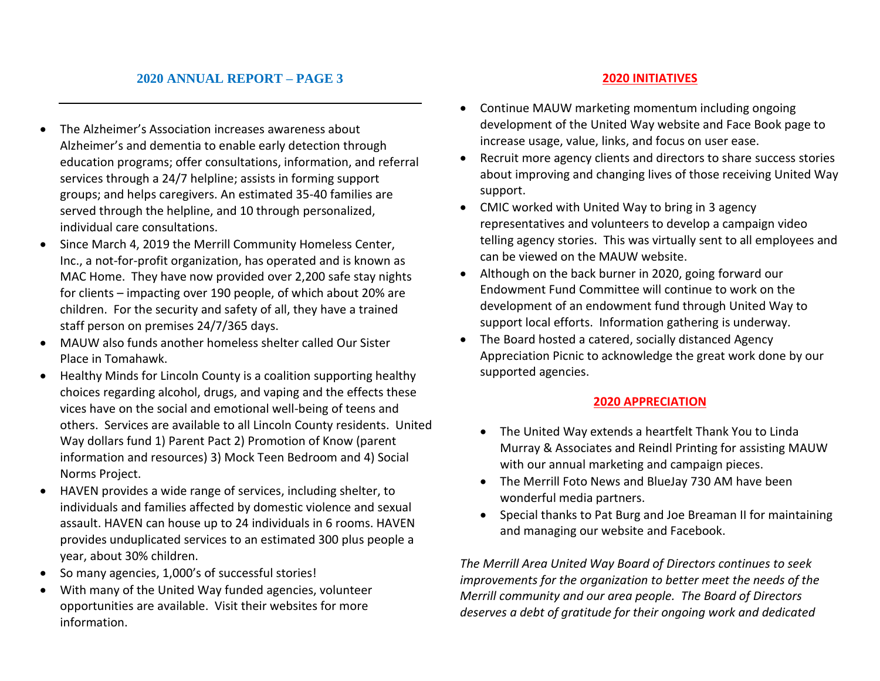## **2020 ANNUAL REPORT – PAGE 3**

- The Alzheimer's Association increases awareness about Alzheimer's and dementia to enable early detection through education programs; offer consultations, information, and referral services through a 24/7 helpline; assists in forming support groups; and helps caregivers. An estimated 35-40 families are served through the helpline, and 10 through personalized, individual care consultations.
- Since March 4, 2019 the Merrill Community Homeless Center, Inc., a not-for-profit organization, has operated and is known as MAC Home. They have now provided over 2,200 safe stay nights for clients – impacting over 190 people, of which about 20% are children. For the security and safety of all, they have a trained staff person on premises 24/7/365 days.
- MAUW also funds another homeless shelter called Our Sister Place in Tomahawk.
- Healthy Minds for Lincoln County is a coalition supporting healthy choices regarding alcohol, drugs, and vaping and the effects these vices have on the social and emotional well-being of teens and others. Services are available to all Lincoln County residents. United Way dollars fund 1) Parent Pact 2) Promotion of Know (parent information and resources) 3) Mock Teen Bedroom and 4) Social Norms Project.
- HAVEN provides a wide range of services, including shelter, to individuals and families affected by domestic violence and sexual assault. HAVEN can house up to 24 individuals in 6 rooms. HAVEN provides unduplicated services to an estimated 300 plus people a year, about 30% children.
- So many agencies, 1,000's of successful stories!
- With many of the United Way funded agencies, volunteer opportunities are available. Visit their websites for more information.

## **2020 INITIATIVES**

- Continue MAUW marketing momentum including ongoing development of the United Way website and Face Book page to increase usage, value, links, and focus on user ease.
- Recruit more agency clients and directors to share success stories about improving and changing lives of those receiving United Way support.
- CMIC worked with United Way to bring in 3 agency representatives and volunteers to develop a campaign video telling agency stories. This was virtually sent to all employees and can be viewed on the MAUW website.
- Although on the back burner in 2020, going forward our Endowment Fund Committee will continue to work on the development of an endowment fund through United Way to support local efforts. Information gathering is underway.
- The Board hosted a catered, socially distanced Agency Appreciation Picnic to acknowledge the great work done by our supported agencies.

## **2020 APPRECIATION**

- The United Way extends a heartfelt Thank You to Linda Murray & Associates and Reindl Printing for assisting MAUW with our annual marketing and campaign pieces.
- The Merrill Foto News and BlueJay 730 AM have been wonderful media partners.
- Special thanks to Pat Burg and Joe Breaman II for maintaining and managing our website and Facebook.

*The Merrill Area United Way Board of Directors continues to seek improvements for the organization to better meet the needs of the Merrill community and our area people. The Board of Directors deserves a debt of gratitude for their ongoing work and dedicated*